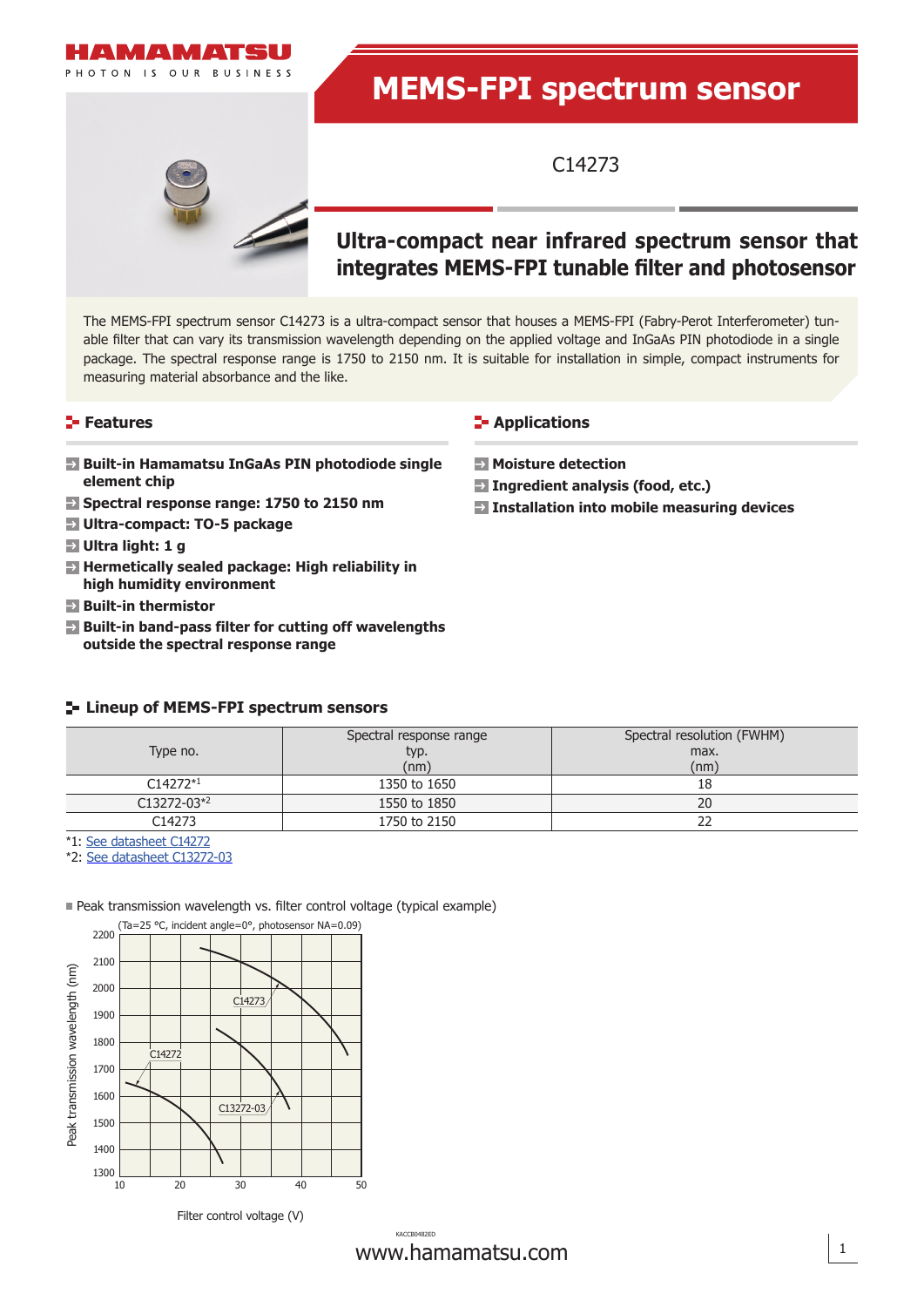

# **MEMS-FPI spectrum sensor**

C14273

## **Ultra-compact near infrared spectrum sensor that integrates MEMS-FPI tunable filter and photosensor**

The MEMS-FPI spectrum sensor C14273 is a ultra-compact sensor that houses a MEMS-FPI (Fabry-Perot Interferometer) tunable filter that can vary its transmission wavelength depending on the applied voltage and InGaAs PIN photodiode in a single package. The spectral response range is 1750 to 2150 nm. It is suitable for installation in simple, compact instruments for measuring material absorbance and the like.

#### **Features**

- **Built-in Hamamatsu InGaAs PIN photodiode single element chip**
- **Spectral response range: 1750 to 2150 nm**
- **Ultra-compact: TO-5 package**
- **Ultra light: 1 g**
- **Hermetically sealed package: High reliability in high humidity environment**
- **Built-in thermistor**
- **Built-in band-pass filter for cutting off wavelengths outside the spectral response range**

#### **Lineup of MEMS-FPI spectrum sensors**

|                 | Spectral response range | Spectral resolution (FWHM) |  |
|-----------------|-------------------------|----------------------------|--|
| Type no.        | typ.                    | max.                       |  |
|                 | (nm)                    | (nm)                       |  |
| $C14272*1$      | 1350 to 1650            | 18                         |  |
| $C13272 - 03*2$ | 1550 to 1850            | 20                         |  |
| C14273          | 1750 to 2150            |                            |  |

\*1: [See datasheet C14272](https://www.hamamatsu.com/content/dam/hamamatsu-photonics/sites/documents/99_SALES_LIBRARY/ssd/c14272_kacc1259e.pdf)

\*2: [See datasheet C13272-03](https://www.hamamatsu.com/content/dam/hamamatsu-photonics/sites/documents/99_SALES_LIBRARY/ssd/c13272-03_kacc1295e.pdf)



Peak transmission wavelength vs. filter control voltage (typical example)

Filter control voltage (V)

www.hamamatsu.com 1 KACCB0482ED

#### **E-** Applications

- **Moisture detection**
- **Ingredient analysis (food, etc.)**
- **Installation into mobile measuring devices**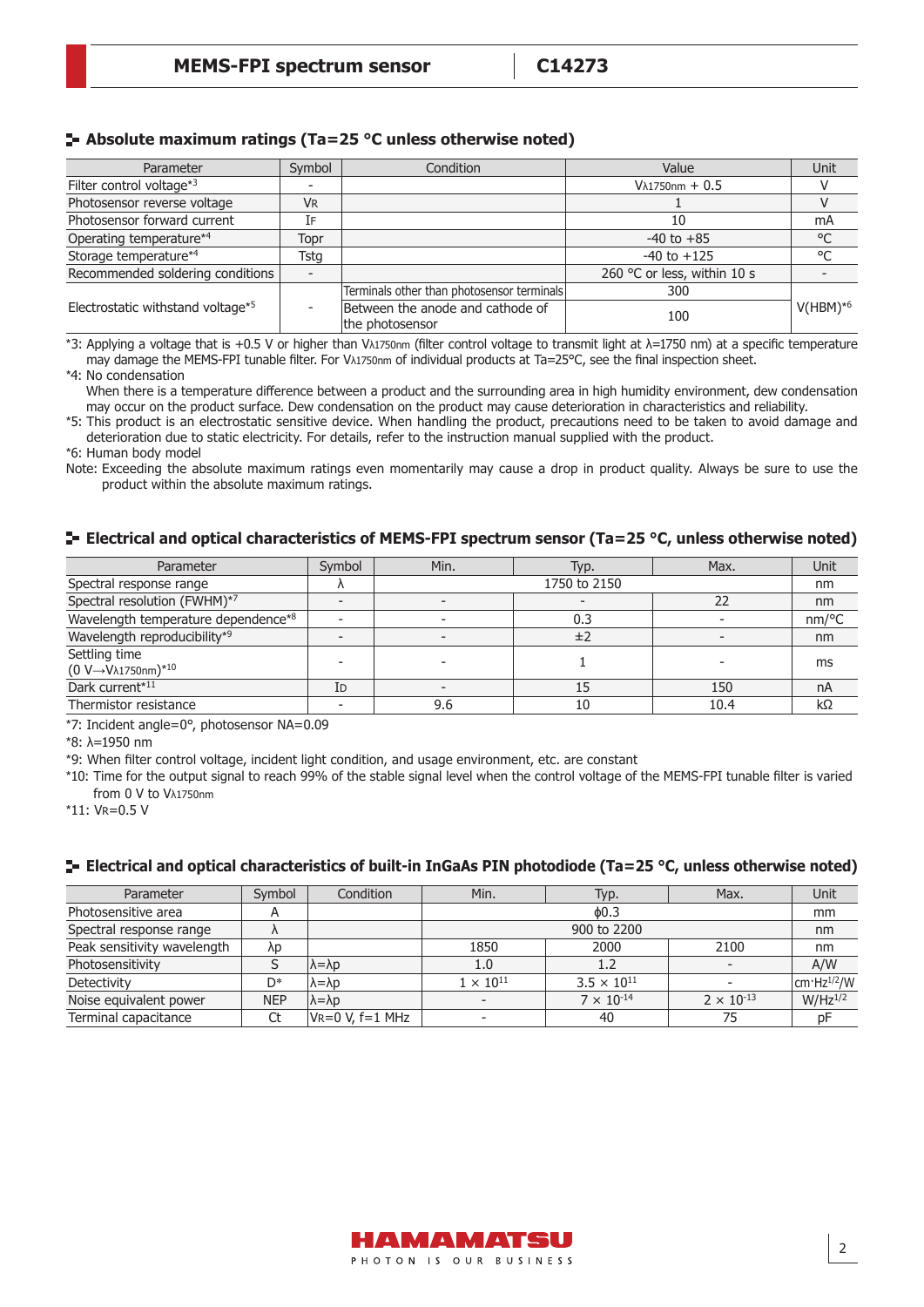#### **Absolute maximum ratings (Ta=25 °C unless otherwise noted)**

| Symbol<br>Condition<br>Parameter  |           |                                                     | Value                       | Unit       |  |
|-----------------------------------|-----------|-----------------------------------------------------|-----------------------------|------------|--|
| Filter control voltage*3          |           |                                                     | $V\lambda$ 1750nm + 0.5     |            |  |
| Photosensor reverse voltage       | <b>VR</b> |                                                     |                             |            |  |
| Photosensor forward current       | [F        |                                                     | 10                          | mA         |  |
| Operating temperature*4<br>Topr   |           |                                                     | $-40$ to $+85$              | °C         |  |
| Storage temperature*4             | Tstg      |                                                     | $-40$ to $+125$             | °C         |  |
| Recommended soldering conditions  |           |                                                     | 260 °C or less, within 10 s |            |  |
|                                   |           | Terminals other than photosensor terminals          | 300                         |            |  |
| Electrostatic withstand voltage*5 |           | Between the anode and cathode of<br>the photosensor | 100                         | $V(HBM)*6$ |  |

\*3: Applying a voltage that is +0.5 V or higher than Vλ1750nm (filter control voltage to transmit light at λ=1750 nm) at a specific temperature may damage the MEMS-FPI tunable filter. For V<sub>A1750nm</sub> of individual products at Ta=25°C, see the final inspection sheet.

\*4: No condensation When there is a temperature difference between a product and the surrounding area in high humidity environment, dew condensation may occur on the product surface. Dew condensation on the product may cause deterioration in characteristics and reliability.

\*5: This product is an electrostatic sensitive device. When handling the product, precautions need to be taken to avoid damage and deterioration due to static electricity. For details, refer to the instruction manual supplied with the product.

\*6: Human body model

Note: Exceeding the absolute maximum ratings even momentarily may cause a drop in product quality. Always be sure to use the product within the absolute maximum ratings.

#### **E** Electrical and optical characteristics of MEMS-FPI spectrum sensor (Ta=25 °C, unless otherwise noted)

| Parameter                                                                          | Symbol       | Min.         | Typ. | Max. | Unit                |
|------------------------------------------------------------------------------------|--------------|--------------|------|------|---------------------|
| Spectral response range                                                            | $\mathbf{v}$ | 1750 to 2150 |      |      | nm                  |
| Spectral resolution (FWHM)*7                                                       |              |              |      | 22   | nm                  |
| Wavelength temperature dependence*8                                                |              |              | 0.3  |      | $nm$ <sup>o</sup> C |
| Wavelength reproducibility*9                                                       |              |              | ±2   |      | nm                  |
| Settling time<br>$(0 \text{ V} \rightarrow \text{V} \lambda 1750 \text{nm})^{*10}$ |              |              |      |      | ms                  |
| Dark current*11                                                                    | Id           |              |      | 150  | nA                  |
| Thermistor resistance                                                              |              | 9.6          | 10   | 10.4 | kΩ                  |

\*7: Incident angle=0°, photosensor NA=0.09

\*8: λ=1950 nm

\*9: When filter control voltage, incident light condition, and usage environment, etc. are constant

\*10: Time for the output signal to reach 99% of the stable signal level when the control voltage of the MEMS-FPI tunable filter is varied from 0 V to Vλ1750nm

\*11: VR=0.5 V

#### **Electrical and optical characteristics of built-in InGaAs PIN photodiode (Ta=25 °C, unless otherwise noted)**

| Parameter                   | Symbol       | Condition              | Min.                     | Typ.                 | Max.                | Unit                           |
|-----------------------------|--------------|------------------------|--------------------------|----------------------|---------------------|--------------------------------|
| Photosensitive area         | $\mathsf{A}$ |                        | $\phi$ 0.3               |                      |                     | mm                             |
| Spectral response range     |              |                        |                          | 900 to 2200          |                     | nm                             |
| Peak sensitivity wavelength | λp           |                        | 1850                     | 2000                 | 2100                | nm                             |
| Photosensitivity            |              | $\lambda = \lambda p$  | 1.0                      | 1.2                  |                     | A/W                            |
| Detectivity                 | D*           | λ=λp                   | $1 \times 10^{11}$       | $3.5 \times 10^{11}$ |                     | $\rm \vert cm\cdot Hz^{1/2}/W$ |
| Noise equivalent power      | <b>NEP</b>   | $\lambda = \lambda p$  |                          | $7 \times 10^{-14}$  | $2 \times 10^{-13}$ | $W/Hz^{1/2}$                   |
| Terminal capacitance        |              | $V_R = 0 V, f = 1 MHz$ | $\overline{\phantom{0}}$ | 40                   | 75                  | pF                             |

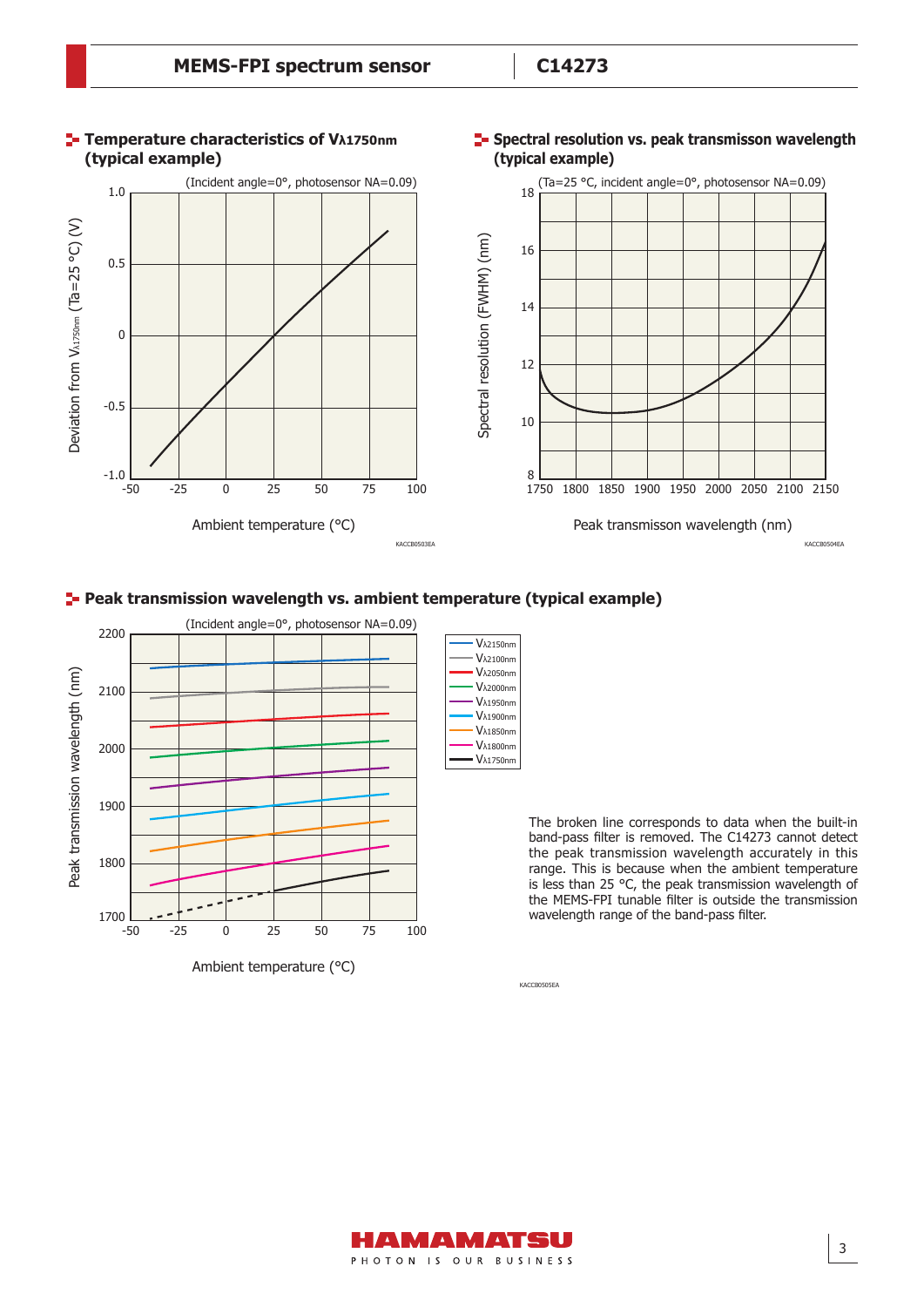

#### **Peak transmission wavelength vs. ambient temperature (typical example)**



The broken line corresponds to data when the built-in band-pass filter is removed. The C14273 cannot detect the peak transmission wavelength accurately in this range. This is because when the ambient temperature is less than 25 °C, the peak transmission wavelength of the MEMS-FPI tunable filter is outside the transmission wavelength range of the band-pass filter.

KACCB0505EA

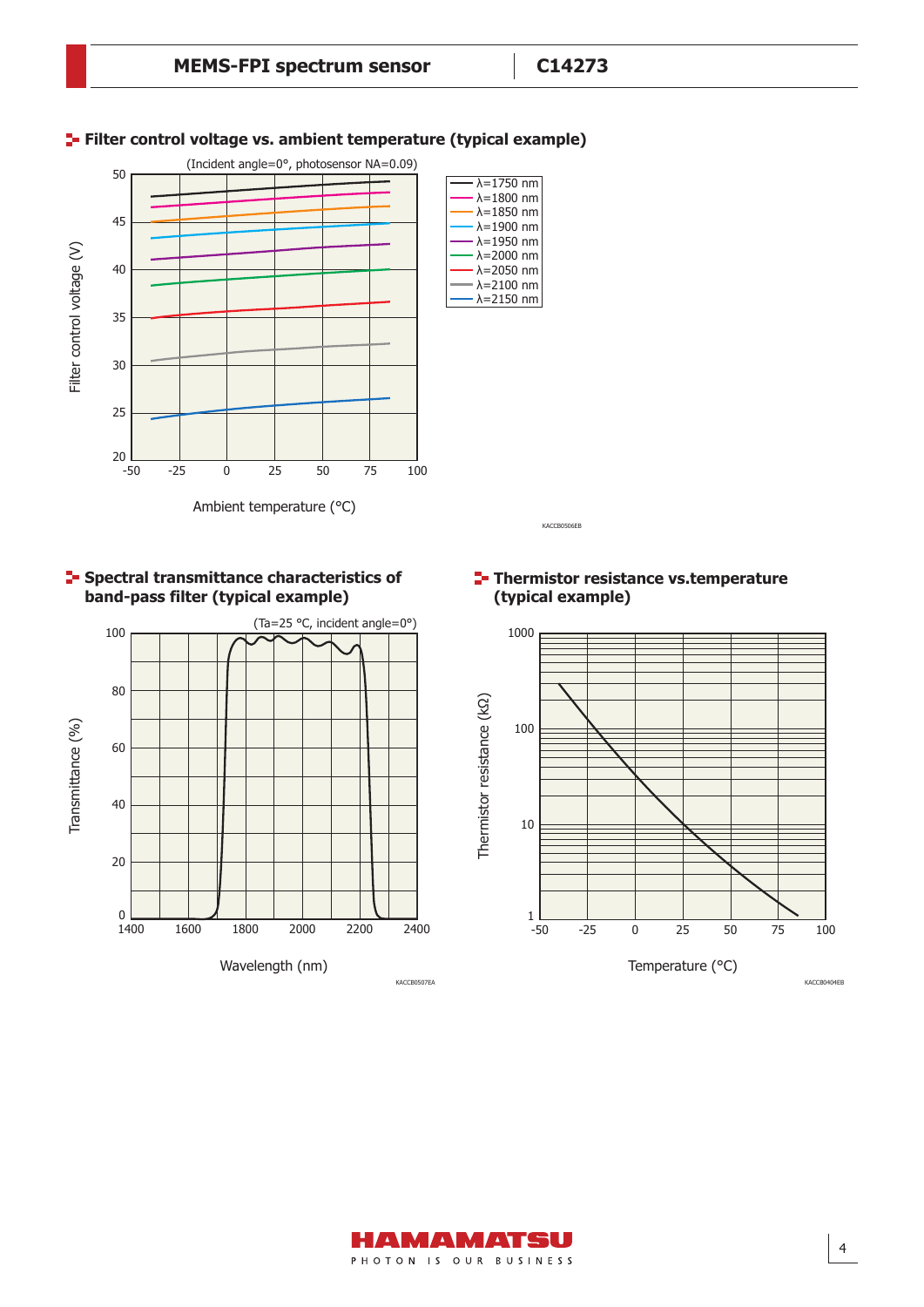

#### **F** Filter control voltage vs. ambient temperature (typical example)



#### **Thermistor resistance vs.temperature (typical example)**





100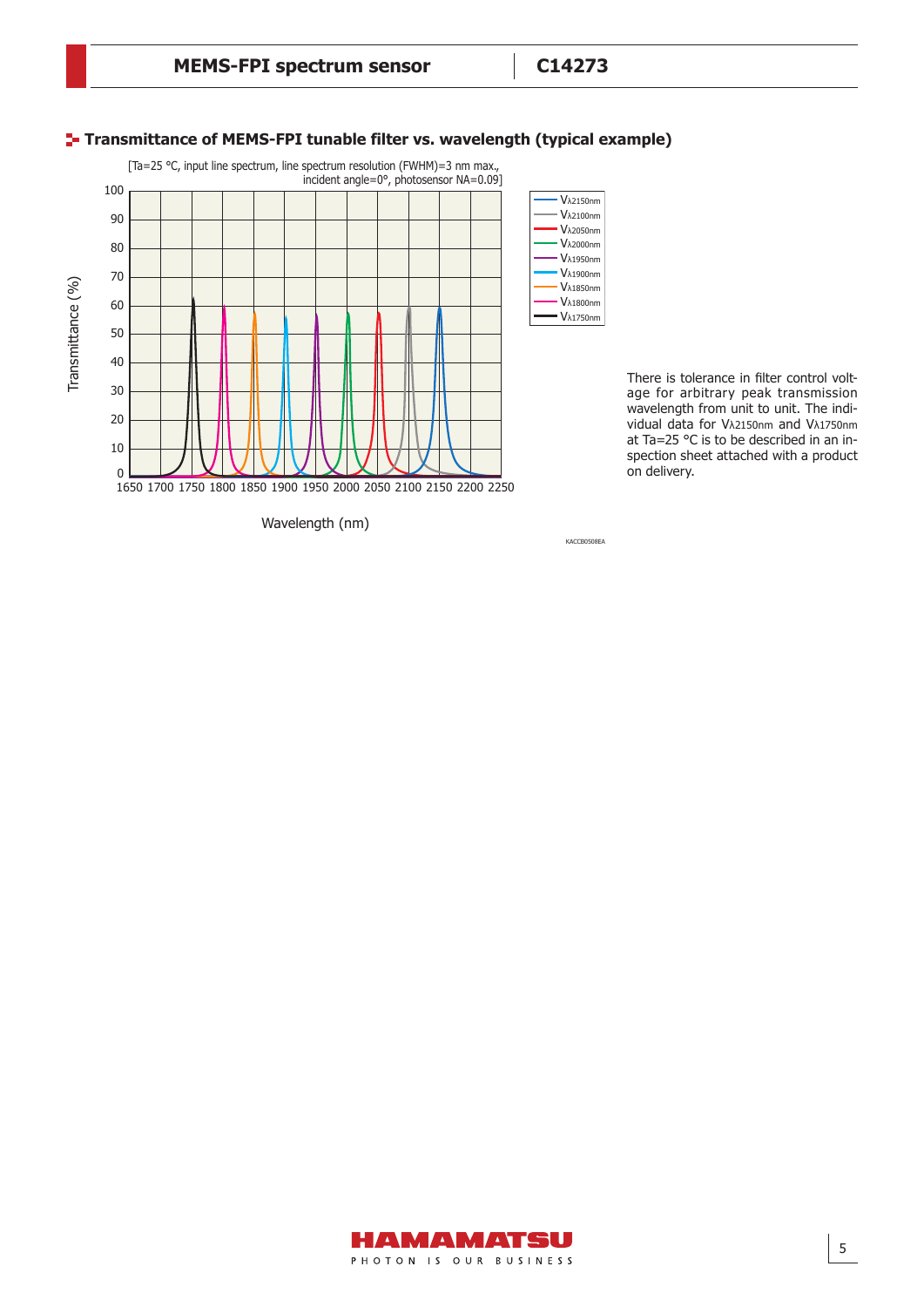#### **Transmittance of MEMS-FPI tunable filter vs. wavelength (typical example)** [Ta=25 °C, input line spectrum, line spectrum resolution (FWHM)=3 nm max., incident angle=0°, photosensor NA=0.09] 100 Vλ2150nm Vλ2100nm 90 Vλ2050nm Vλ2000nm 80 Vλ1950nm 70 Vλ1900nm Transmittance (%) Transmittance (%) Vλ1850nm Vλ1800nm 60 Vλ1750nm 50 40 30 20

#### There is tolerance in filter control voltage for arbitrary peak transmission wavelength from unit to unit. The individual data for Vλ2150nm and Vλ1750nm at Ta=25 °C is to be described in an inspection sheet attached with a product on delivery.

Wavelength (nm)

1650 1700 1750 1800 1850 1900 1950 2000 2050 2100 2150 2200 2250

10 0

KACCB0508EA

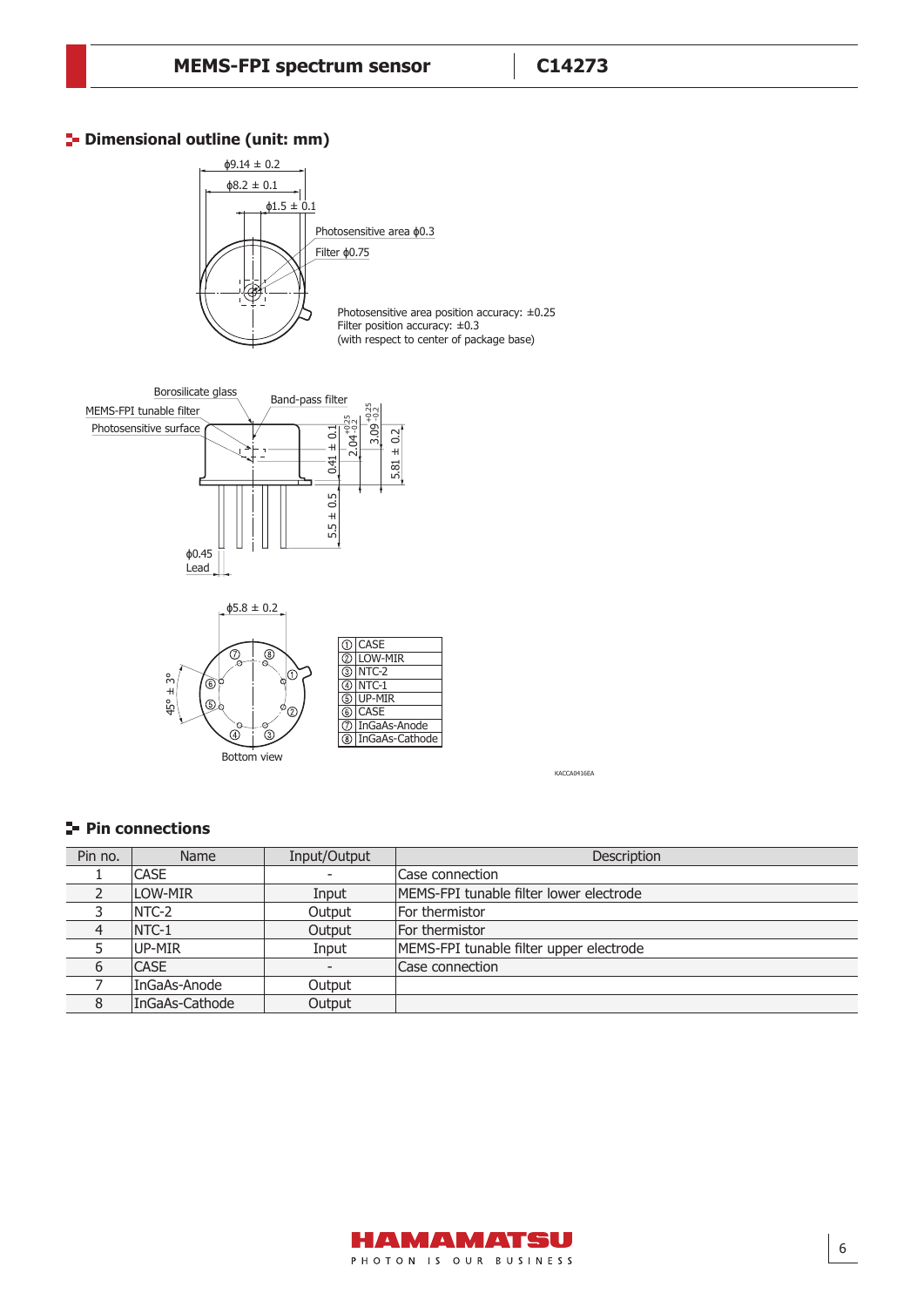## **<sup>1</sup>** Dimensional outline (unit: mm)







KACCA0416EA

## **Pin connections**

| Pin no. | Name           | Input/Output | Description                             |
|---------|----------------|--------------|-----------------------------------------|
|         | <b>CASE</b>    |              | Case connection                         |
|         | <b>LOW-MIR</b> | Input        | MEMS-FPI tunable filter lower electrode |
|         | INTC-2         | Output       | For thermistor                          |
|         | $INTC-1$       | Output       | For thermistor                          |
|         | UP-MIR         | Input        | MEMS-FPI tunable filter upper electrode |
| 6       | <b>CASE</b>    |              | Case connection                         |
|         | InGaAs-Anode   | Output       |                                         |
|         | InGaAs-Cathode | Output       |                                         |

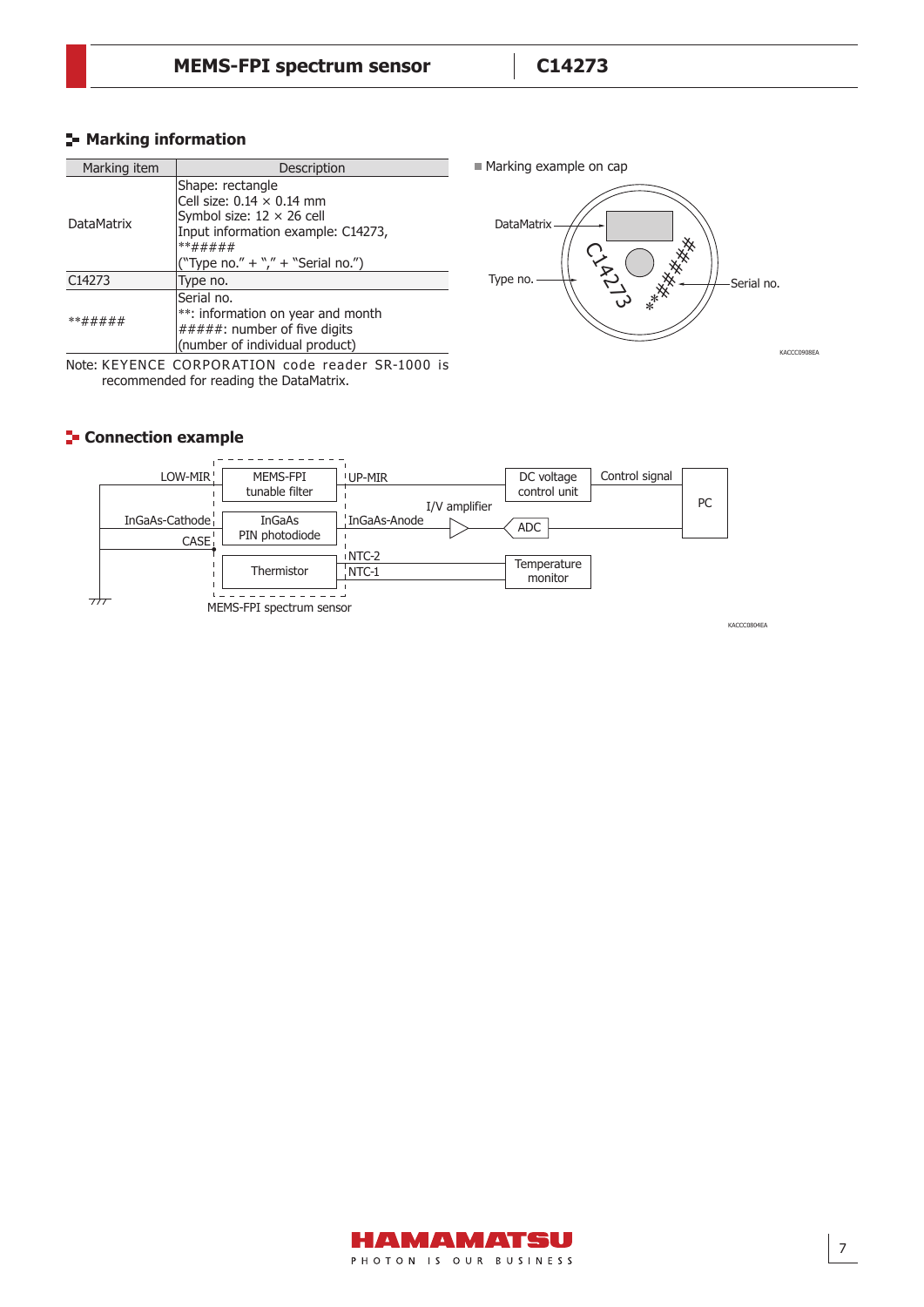Marking example on cap

#### **Marking information**

| Marking item       | Description                                                                                                                                                                    |  |
|--------------------|--------------------------------------------------------------------------------------------------------------------------------------------------------------------------------|--|
| <b>DataMatrix</b>  | Shape: rectangle<br>Cell size: $0.14 \times 0.14$ mm<br>Symbol size: $12 \times 26$ cell<br>Input information example: C14273,<br>**#####<br>("Type no." + "," + "Serial no.") |  |
| C <sub>14273</sub> | Type no.                                                                                                                                                                       |  |
| **#####            | Serial no.<br>**: information on year and month<br>#####: number of five digits<br>(number of individual product)                                                              |  |

Note: KEYENCE CORPORATION code reader SR-1000 is recommended for reading the DataMatrix.

#### **Connection example**





KACCC0804EA

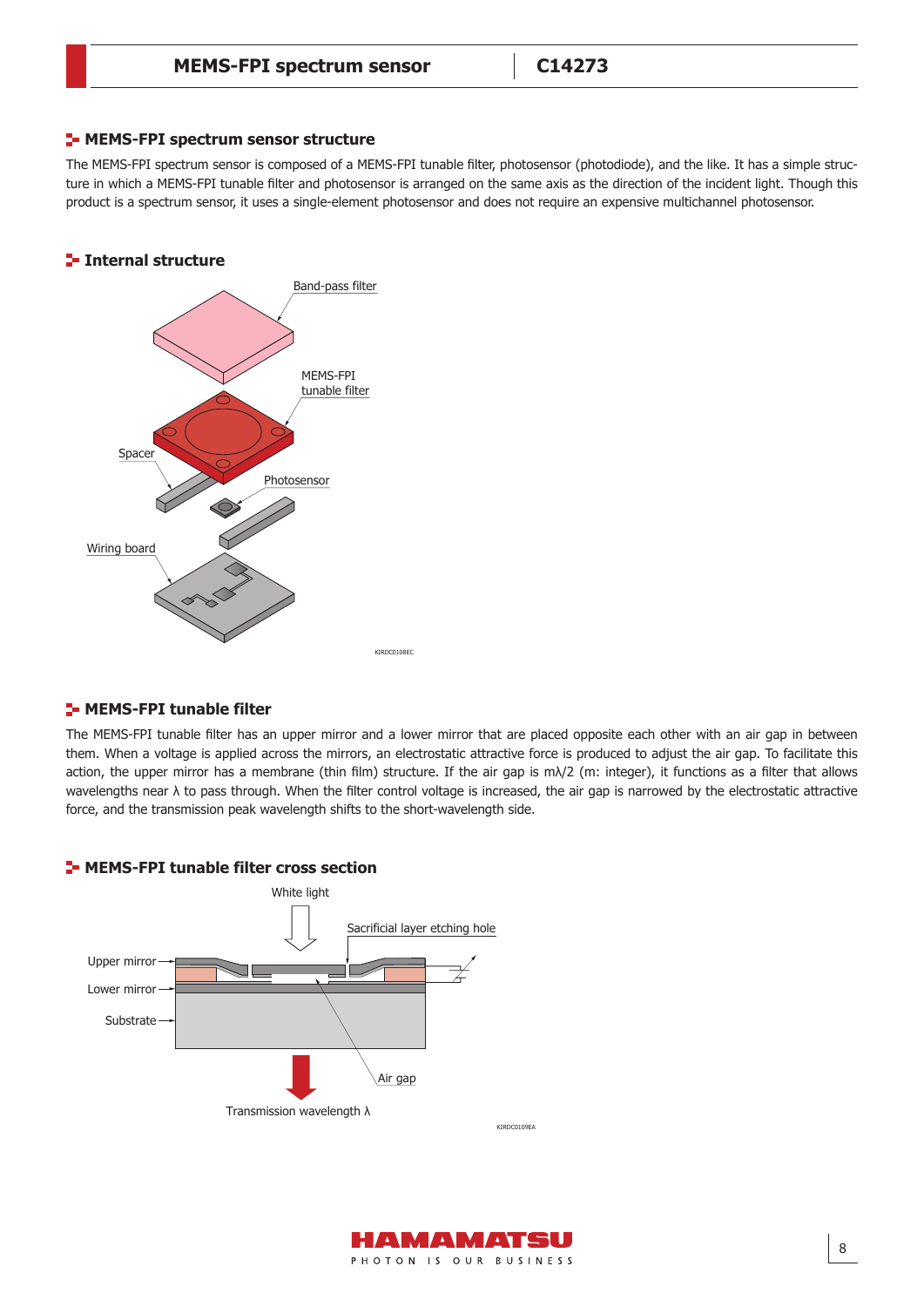#### **E-MEMS-FPI spectrum sensor structure**

The MEMS-FPI spectrum sensor is composed of a MEMS-FPI tunable filter, photosensor (photodiode), and the like. It has a simple structure in which a MEMS-FPI tunable filter and photosensor is arranged on the same axis as the direction of the incident light. Though this product is a spectrum sensor, it uses a single-element photosensor and does not require an expensive multichannel photosensor.

#### **Internal structure**



#### **E-MEMS-FPI tunable filter**

The MEMS-FPI tunable filter has an upper mirror and a lower mirror that are placed opposite each other with an air gap in between them. When a voltage is applied across the mirrors, an electrostatic attractive force is produced to adjust the air gap. To facilitate this action, the upper mirror has a membrane (thin film) structure. If the air gap is m $\lambda/2$  (m: integer), it functions as a filter that allows wavelengths near λ to pass through. When the filter control voltage is increased, the air gap is narrowed by the electrostatic attractive force, and the transmission peak wavelength shifts to the short-wavelength side.



#### **E-MEMS-FPI tunable filter cross section**

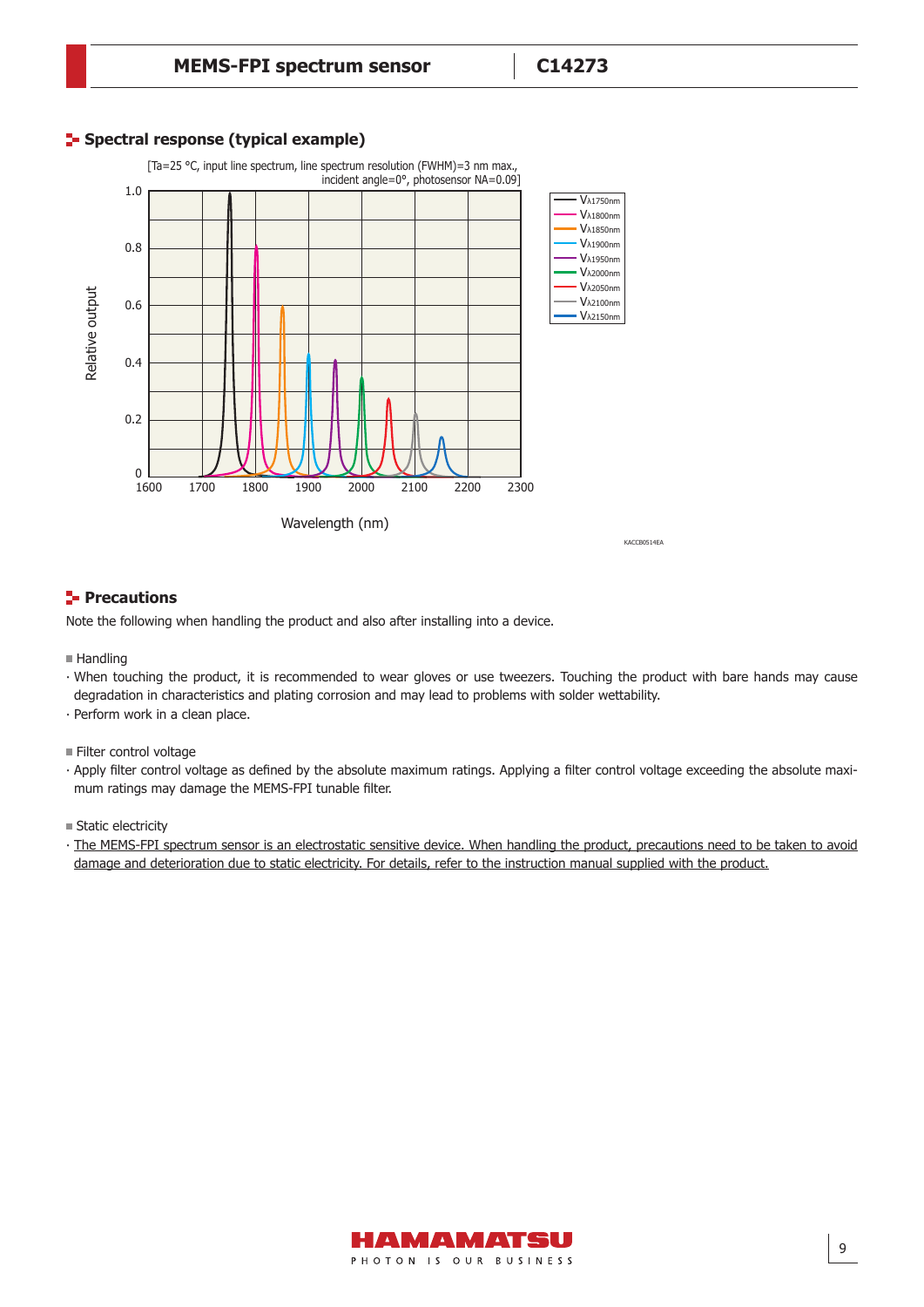#### **F** Spectral response (typical example)



#### **Precautions**

Note the following when handling the product and also after installing into a device.

- $H$ andling
- ∙ When touching the product, it is recommended to wear gloves or use tweezers. Touching the product with bare hands may cause degradation in characteristics and plating corrosion and may lead to problems with solder wettability.
- ∙ Perform work in a clean place.
- Filter control voltage
- ∙ Apply filter control voltage as defined by the absolute maximum ratings. Applying a filter control voltage exceeding the absolute maximum ratings may damage the MEMS-FPI tunable filter.

**Static electricity** 

∙ The MEMS-FPI spectrum sensor is an electrostatic sensitive device. When handling the product, precautions need to be taken to avoid damage and deterioration due to static electricity. For details, refer to the instruction manual supplied with the product.